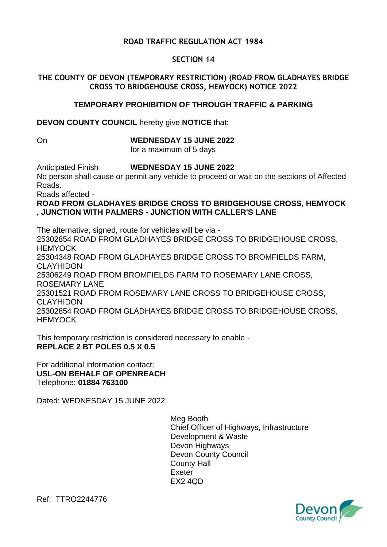# **ROAD TRAFFIC REGULATION ACT 1984**

### **SECTION 14**

### **THE COUNTY OF DEVON (TEMPORARY RESTRICTION) (ROAD FROM GLADHAYES BRIDGE CROSS TO BRIDGEHOUSE CROSS, HEMYOCK) NOTICE 2022**

#### **TEMPORARY PROHIBITION OF THROUGH TRAFFIC & PARKING**

**DEVON COUNTY COUNCIL** hereby give **NOTICE** that:

# On **WEDNESDAY 15 JUNE 2022**

for a maximum of 5 days

Anticipated Finish **WEDNESDAY 15 JUNE 2022**

No person shall cause or permit any vehicle to proceed or wait on the sections of Affected Roads.

Roads affected -

## **ROAD FROM GLADHAYES BRIDGE CROSS TO BRIDGEHOUSE CROSS, HEMYOCK , JUNCTION WITH PALMERS - JUNCTION WITH CALLER'S LANE**

The alternative, signed, route for vehicles will be via - 25302854 ROAD FROM GLADHAYES BRIDGE CROSS TO BRIDGEHOUSE CROSS, **HEMYOCK** 25304348 ROAD FROM GLADHAYES BRIDGE CROSS TO BROMFIELDS FARM, CLAYHIDON 25306249 ROAD FROM BROMFIELDS FARM TO ROSEMARY LANE CROSS, ROSEMARY LANE 25301521 ROAD FROM ROSEMARY LANE CROSS TO BRIDGEHOUSE CROSS, CLAYHIDON 25302854 ROAD FROM GLADHAYES BRIDGE CROSS TO BRIDGEHOUSE CROSS, **HEMYOCK** 

This temporary restriction is considered necessary to enable - **REPLACE 2 BT POLES 0.5 X 0.5**

For additional information contact: **USL-ON BEHALF OF OPENREACH** Telephone: **01884 763100**

Dated: WEDNESDAY 15 JUNE 2022

Meg Booth Chief Officer of Highways, Infrastructure Development & Waste Devon Highways Devon County Council County Hall Exeter EX2 4QD